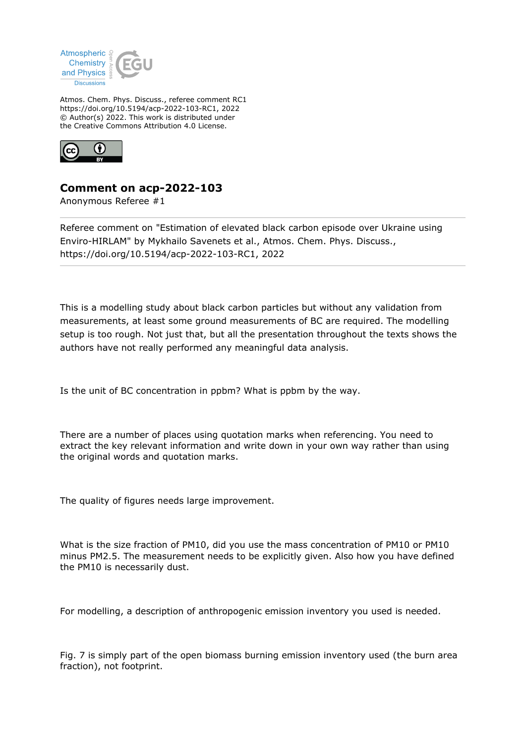

Atmos. Chem. Phys. Discuss., referee comment RC1 https://doi.org/10.5194/acp-2022-103-RC1, 2022 © Author(s) 2022. This work is distributed under the Creative Commons Attribution 4.0 License.



## **Comment on acp-2022-103**

Anonymous Referee #1

Referee comment on "Estimation of elevated black carbon episode over Ukraine using Enviro-HIRLAM" by Mykhailo Savenets et al., Atmos. Chem. Phys. Discuss., https://doi.org/10.5194/acp-2022-103-RC1, 2022

This is a modelling study about black carbon particles but without any validation from measurements, at least some ground measurements of BC are required. The modelling setup is too rough. Not just that, but all the presentation throughout the texts shows the authors have not really performed any meaningful data analysis.

Is the unit of BC concentration in ppbm? What is ppbm by the way.

There are a number of places using quotation marks when referencing. You need to extract the key relevant information and write down in your own way rather than using the original words and quotation marks.

The quality of figures needs large improvement.

What is the size fraction of PM10, did you use the mass concentration of PM10 or PM10 minus PM2.5. The measurement needs to be explicitly given. Also how you have defined the PM10 is necessarily dust.

For modelling, a description of anthropogenic emission inventory you used is needed.

Fig. 7 is simply part of the open biomass burning emission inventory used (the burn area fraction), not footprint.